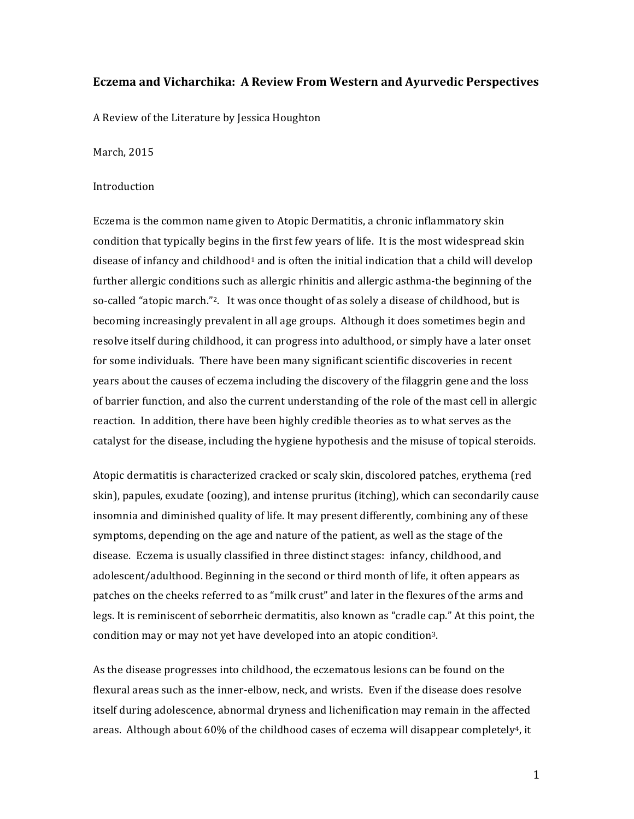# **Eczema and Vicharchika: A Review From Western and Ayurvedic Perspectives**

A Review of the Literature by Jessica Houghton

March, 2015

### Introduction

Eczema is the common name given to Atopic Dermatitis, a chronic inflammatory skin condition that typically begins in the first few years of life. It is the most widespread skin disease of infancy and childhood<sup>1</sup> and is often the initial indication that a child will develop further allergic conditions such as allergic rhinitis and allergic asthma-the beginning of the so-called "atopic march."<sup>2</sup>. It was once thought of as solely a disease of childhood, but is becoming increasingly prevalent in all age groups. Although it does sometimes begin and resolve itself during childhood, it can progress into adulthood, or simply have a later onset for some individuals. There have been many significant scientific discoveries in recent years about the causes of eczema including the discovery of the filaggrin gene and the loss of barrier function, and also the current understanding of the role of the mast cell in allergic reaction. In addition, there have been highly credible theories as to what serves as the catalyst for the disease, including the hygiene hypothesis and the misuse of topical steroids.

Atopic dermatitis is characterized cracked or scaly skin, discolored patches, erythema (red skin), papules, exudate (oozing), and intense pruritus (itching), which can secondarily cause insomnia and diminished quality of life. It may present differently, combining any of these symptoms, depending on the age and nature of the patient, as well as the stage of the disease. Eczema is usually classified in three distinct stages: infancy, childhood, and adolescent/adulthood. Beginning in the second or third month of life, it often appears as patches on the cheeks referred to as "milk crust" and later in the flexures of the arms and legs. It is reminiscent of seborrheic dermatitis, also known as "cradle cap." At this point, the condition may or may not yet have developed into an atopic condition<sup>3</sup>.

As the disease progresses into childhood, the eczematous lesions can be found on the flexural areas such as the inner-elbow, neck, and wrists. Even if the disease does resolve itself during adolescence, abnormal dryness and lichenification may remain in the affected areas. Although about 60% of the childhood cases of eczema will disappear completely<sup>4</sup>, it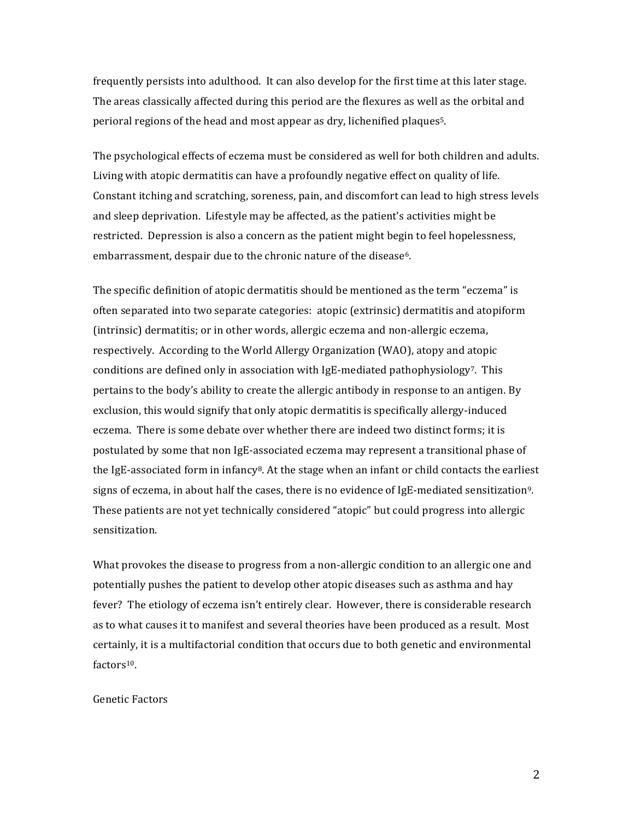frequently persists into adulthood. It can also develop for the first time at this later stage. The areas classically affected during this period are the flexures as well as the orbital and perioral regions of the head and most appear as dry, lichenified plaques<sup>5</sup>.

The psychological effects of eczema must be considered as well for both children and adults. Living with atopic dermatitis can have a profoundly negative effect on quality of life. Constant itching and scratching, soreness, pain, and discomfort can lead to high stress levels and sleep deprivation. Lifestyle may be affected, as the patient's activities might be restricted. Depression is also a concern as the patient might begin to feel hopelessness, embarrassment, despair due to the chronic nature of the disease<sup>6</sup>.

The specific definition of atopic dermatitis should be mentioned as the term "eczema" is often separated into two separate categories: atopic (extrinsic) dermatitis and atopiform (intrinsic) dermatitis; or in other words, allergic eczema and non-allergic eczema, respectively. According to the World Allergy Organization (WAO), atopy and atopic conditions are defined only in association with IgE-mediated pathophysiology7. This pertains to the body's ability to create the allergic antibody in response to an antigen. By exclusion, this would signify that only atopic dermatitis is specifically allergy-induced eczema. There is some debate over whether there are indeed two distinct forms; it is postulated by some that non IgE-associated eczema may represent a transitional phase of the IgE-associated form in infancy<sup>8</sup>. At the stage when an infant or child contacts the earliest signs of eczema, in about half the cases, there is no evidence of IgE-mediated sensitization<sup>9</sup>. These patients are not yet technically considered "atopic" but could progress into allergic sensitization.

What provokes the disease to progress from a non-allergic condition to an allergic one and potentially pushes the patient to develop other atopic diseases such as asthma and hay fever? The etiology of eczema isn't entirely clear. However, there is considerable research as to what causes it to manifest and several theories have been produced as a result. Most certainly, it is a multifactorial condition that occurs due to both genetic and environmental factors<sup>10</sup>.

### Genetic Factors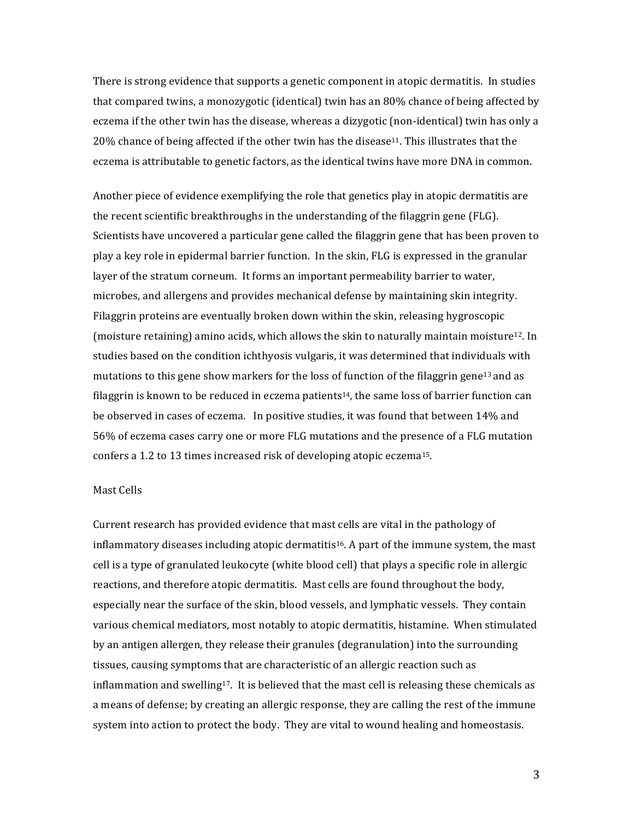There is strong evidence that supports a genetic component in atopic dermatitis. In studies that compared twins, a monozygotic (identical) twin has an 80% chance of being affected by eczema if the other twin has the disease, whereas a dizygotic (non-identical) twin has only a 20% chance of being affected if the other twin has the disease<sup>11</sup>. This illustrates that the eczema is attributable to genetic factors, as the identical twins have more DNA in common.

Another piece of evidence exemplifying the role that genetics play in atopic dermatitis are the recent scientific breakthroughs in the understanding of the filaggrin gene (FLG). Scientists have uncovered a particular gene called the filaggrin gene that has been proven to play a key role in epidermal barrier function. In the skin, FLG is expressed in the granular layer of the stratum corneum. It forms an important permeability barrier to water, microbes, and allergens and provides mechanical defense by maintaining skin integrity. Filaggrin proteins are eventually broken down within the skin, releasing hygroscopic (moisture retaining) amino acids, which allows the skin to naturally maintain moisture<sup>12</sup>. In studies based on the condition ichthyosis vulgaris, it was determined that individuals with mutations to this gene show markers for the loss of function of the filaggrin gene<sup>13</sup> and as filaggrin is known to be reduced in eczema patients<sup>14</sup>, the same loss of barrier function can be observed in cases of eczema. In positive studies, it was found that between 14% and 56% of eczema cases carry one or more FLG mutations and the presence of a FLG mutation confers a 1.2 to 13 times increased risk of developing atopic eczema<sup>15</sup>.

### Mast Cells

Current research has provided evidence that mast cells are vital in the pathology of inflammatory diseases including atopic dermatitis<sup>16</sup>. A part of the immune system, the mast cell is a type of granulated leukocyte (white blood cell) that plays a specific role in allergic reactions, and therefore atopic dermatitis. Mast cells are found throughout the body, especially near the surface of the skin, blood vessels, and lymphatic vessels. They contain various chemical mediators, most notably to atopic dermatitis, histamine. When stimulated by an antigen allergen, they release their granules (degranulation) into the surrounding tissues, causing symptoms that are characteristic of an allergic reaction such as inflammation and swelling<sup>17</sup>. It is believed that the mast cell is releasing these chemicals as a means of defense; by creating an allergic response, they are calling the rest of the immune system into action to protect the body. They are vital to wound healing and homeostasis.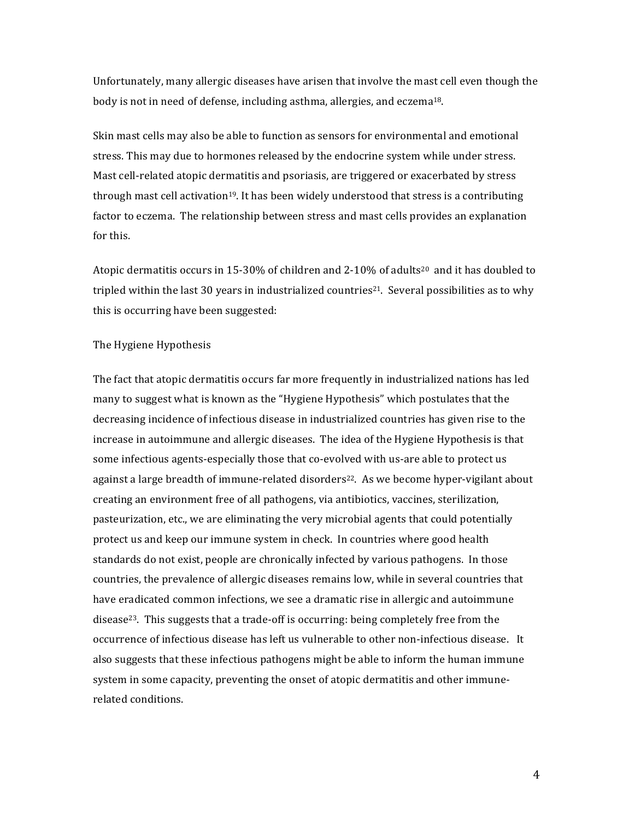Unfortunately, many allergic diseases have arisen that involve the mast cell even though the body is not in need of defense, including asthma, allergies, and eczema<sup>18</sup>.

Skin mast cells may also be able to function as sensors for environmental and emotional stress. This may due to hormones released by the endocrine system while under stress. Mast cell-related atopic dermatitis and psoriasis, are triggered or exacerbated by stress through mast cell activation<sup>19</sup>. It has been widely understood that stress is a contributing factor to eczema. The relationship between stress and mast cells provides an explanation for this.

Atopic dermatitis occurs in 15-30% of children and 2-10% of adults<sup>20</sup> and it has doubled to tripled within the last 30 years in industrialized countries<sup>21</sup>. Several possibilities as to why this is occurring have been suggested:

### The Hygiene Hypothesis

The fact that atopic dermatitis occurs far more frequently in industrialized nations has led many to suggest what is known as the "Hygiene Hypothesis" which postulates that the decreasing incidence of infectious disease in industrialized countries has given rise to the increase in autoimmune and allergic diseases. The idea of the Hygiene Hypothesis is that some infectious agents-especially those that co-evolved with us-are able to protect us against a large breadth of immune-related disorders<sup>22</sup>. As we become hyper-vigilant about creating an environment free of all pathogens, via antibiotics, vaccines, sterilization, pasteurization, etc., we are eliminating the very microbial agents that could potentially protect us and keep our immune system in check. In countries where good health standards do not exist, people are chronically infected by various pathogens. In those countries, the prevalence of allergic diseases remains low, while in several countries that have eradicated common infections, we see a dramatic rise in allergic and autoimmune disease<sup>23</sup>. This suggests that a trade-off is occurring: being completely free from the occurrence of infectious disease has left us vulnerable to other non-infectious disease. It also suggests that these infectious pathogens might be able to inform the human immune system in some capacity, preventing the onset of atopic dermatitis and other immunerelated conditions.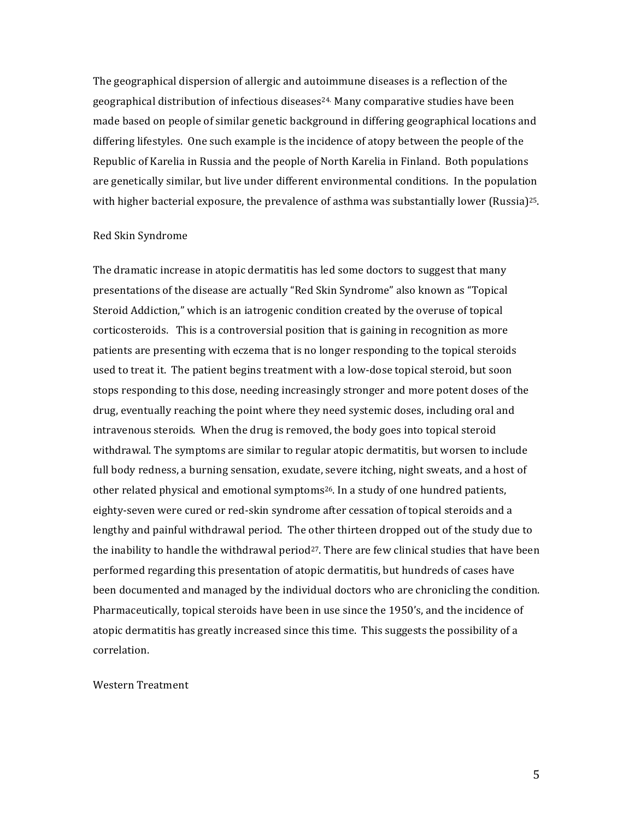The geographical dispersion of allergic and autoimmune diseases is a reflection of the geographical distribution of infectious diseases<sup>24</sup>. Many comparative studies have been made based on people of similar genetic background in differing geographical locations and differing lifestyles. One such example is the incidence of atopy between the people of the Republic of Karelia in Russia and the people of North Karelia in Finland. Both populations are genetically similar, but live under different environmental conditions. In the population with higher bacterial exposure, the prevalence of asthma was substantially lower (Russia)<sup>25</sup>.

#### Red Skin Syndrome

The dramatic increase in atopic dermatitis has led some doctors to suggest that many presentations of the disease are actually "Red Skin Syndrome" also known as "Topical Steroid Addiction," which is an iatrogenic condition created by the overuse of topical corticosteroids. This is a controversial position that is gaining in recognition as more patients are presenting with eczema that is no longer responding to the topical steroids used to treat it. The patient begins treatment with a low-dose topical steroid, but soon stops responding to this dose, needing increasingly stronger and more potent doses of the drug, eventually reaching the point where they need systemic doses, including oral and intravenous steroids. When the drug is removed, the body goes into topical steroid withdrawal. The symptoms are similar to regular atopic dermatitis, but worsen to include full body redness, a burning sensation, exudate, severe itching, night sweats, and a host of other related physical and emotional symptoms<sup>26</sup>. In a study of one hundred patients, eighty-seven were cured or red-skin syndrome after cessation of topical steroids and a lengthy and painful withdrawal period. The other thirteen dropped out of the study due to the inability to handle the withdrawal period<sup>27</sup>. There are few clinical studies that have been performed regarding this presentation of atopic dermatitis, but hundreds of cases have been documented and managed by the individual doctors who are chronicling the condition. Pharmaceutically, topical steroids have been in use since the 1950's, and the incidence of atopic dermatitis has greatly increased since this time. This suggests the possibility of a correlation.

#### Western Treatment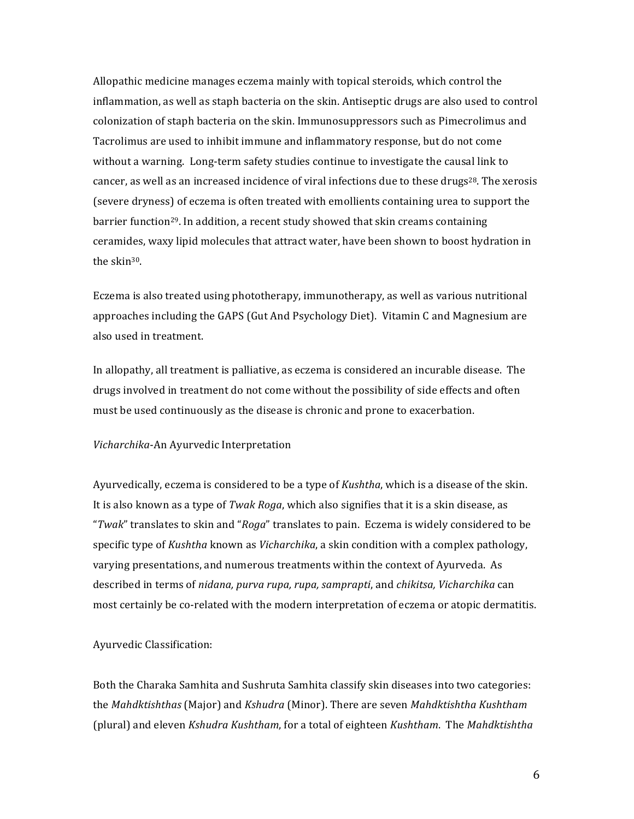Allopathic medicine manages eczema mainly with topical steroids, which control the inflammation, as well as staph bacteria on the skin. Antiseptic drugs are also used to control colonization of staph bacteria on the skin. Immunosuppressors such as Pimecrolimus and Tacrolimus are used to inhibit immune and inflammatory response, but do not come without a warning. Long-term safety studies continue to investigate the causal link to cancer, as well as an increased incidence of viral infections due to these drugs<sup>28</sup>. The xerosis (severe dryness) of eczema is often treated with emollients containing urea to support the barrier function<sup>29</sup>. In addition, a recent study showed that skin creams containing ceramides, waxy lipid molecules that attract water, have been shown to boost hydration in the skin<sup>30</sup>.

Eczema is also treated using phototherapy, immunotherapy, as well as various nutritional approaches including the GAPS (Gut And Psychology Diet). Vitamin C and Magnesium are also used in treatment.

In allopathy, all treatment is palliative, as eczema is considered an incurable disease. The drugs involved in treatment do not come without the possibility of side effects and often must be used continuously as the disease is chronic and prone to exacerbation.

### Vicharchika-An Ayurvedic Interpretation

Ayurvedically, eczema is considered to be a type of Kushtha, which is a disease of the skin. It is also known as a type of Twak Roga, which also signifies that it is a skin disease, as "Twak" translates to skin and "Roga" translates to pain. Eczema is widely considered to be specific type of Kushtha known as Vicharchika, a skin condition with a complex pathology, varying presentations, and numerous treatments within the context of Ayurveda. As described in terms of nidana, purva rupa, rupa, samprapti, and chikitsa, Vicharchika can most certainly be co-related with the modern interpretation of eczema or atopic dermatitis.

### **Ayurvedic Classification:**

Both the Charaka Samhita and Sushruta Samhita classify skin diseases into two categories: the Mahdktishthas (Major) and Kshudra (Minor). There are seven Mahdktishtha Kushtham (plural) and eleven Kshudra Kushtham, for a total of eighteen Kushtham. The Mahdktishtha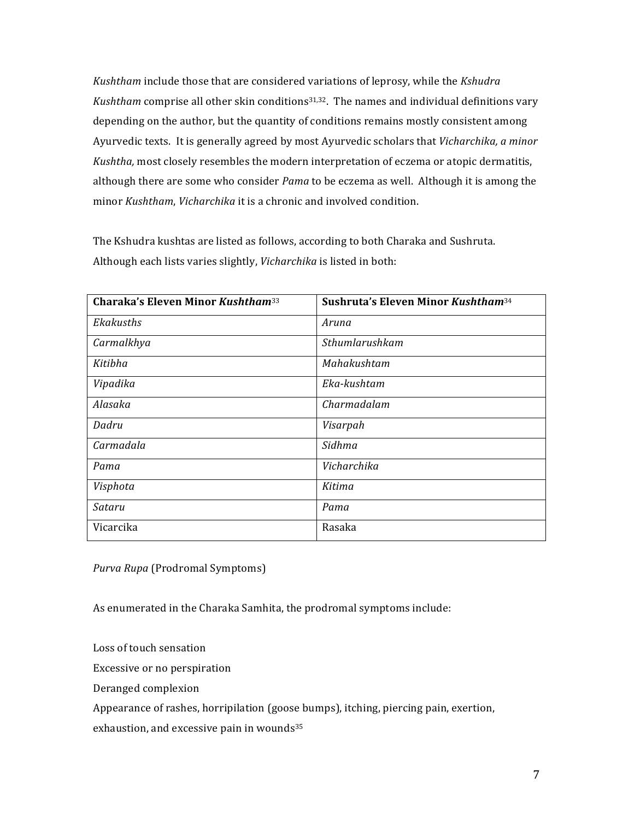*Kushtham* include those that are considered variations of leprosy, while the *Kshudra Kushtham* comprise all other skin conditions<sup>31,32</sup>. The names and individual definitions vary depending on the author, but the quantity of conditions remains mostly consistent among Ayurvedic texts. It is generally agreed by most Ayurvedic scholars that *Vicharchika, a minor Kushtha,* most closely resembles the modern interpretation of eczema or atopic dermatitis, although there are some who consider *Pama* to be eczema as well. Although it is among the minor *Kushtham, Vicharchika* it is a chronic and involved condition.

The Kshudra kushtas are listed as follows, according to both Charaka and Sushruta. Although each lists varies slightly, Vicharchika is listed in both:

| <b>Charaka's Eleven Minor Kushtham</b> <sup>33</sup> | Sushruta's Eleven Minor Kushtham <sup>34</sup> |  |
|------------------------------------------------------|------------------------------------------------|--|
| Ekakusths                                            | Aruna                                          |  |
| Carmalkhya                                           | Sthumlarushkam                                 |  |
| Kitibha                                              | Mahakushtam                                    |  |
| Vipadika                                             | Eka-kushtam                                    |  |
| Alasaka                                              | Charmadalam                                    |  |
| Dadru                                                | Visarpah                                       |  |
| Carmadala                                            | Sidhma                                         |  |
| Pama                                                 | Vicharchika                                    |  |
| Visphota                                             | Kitima                                         |  |
| Sataru                                               | Pama                                           |  |
| Vicarcika                                            | Rasaka                                         |  |

*Purva Rupa* (Prodromal Symptoms)

As enumerated in the Charaka Samhita, the prodromal symptoms include:

Loss of touch sensation

Excessive or no perspiration

Deranged complexion

Appearance of rashes, horripilation (goose bumps), itching, piercing pain, exertion,

exhaustion, and excessive pain in wounds<sup>35</sup>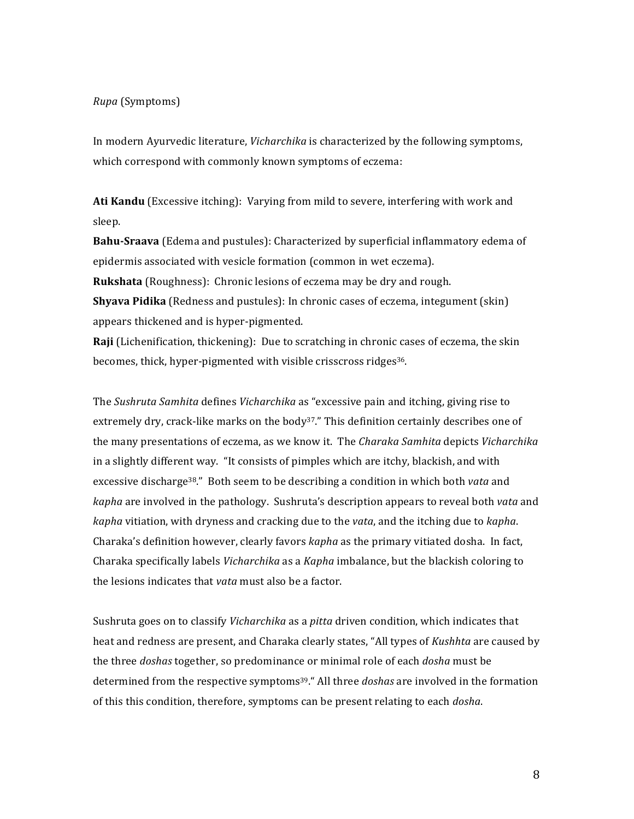## *Rupa* (Symptoms)

In modern Ayurvedic literature, *Vicharchika* is characterized by the following symptoms, which correspond with commonly known symptoms of eczema:

**Ati Kandu** (Excessive itching): Varying from mild to severe, interfering with work and sleep.

**Bahu-Sraava** (Edema and pustules): Characterized by superficial inflammatory edema of epidermis associated with vesicle formation (common in wet eczema).

**Rukshata** (Roughness): Chronic lesions of eczema may be dry and rough.

**Shyava Pidika** (Redness and pustules): In chronic cases of eczema, integument (skin) appears thickened and is hyper-pigmented.

**Raji** (Lichenification, thickening): Due to scratching in chronic cases of eczema, the skin becomes, thick, hyper-pigmented with visible crisscross ridges<sup>36</sup>.

The *Sushruta Samhita* defines *Vicharchika* as "excessive pain and itching, giving rise to extremely dry, crack-like marks on the body<sup>37</sup>." This definition certainly describes one of the many presentations of eczema, as we know it. The *Charaka Samhita* depicts *Vicharchika* in a slightly different way. "It consists of pimples which are itchy, blackish, and with excessive discharge<sup>38</sup>." Both seem to be describing a condition in which both *vata* and *kapha* are involved in the pathology. Sushruta's description appears to reveal both *vata* and *kapha* vitiation, with dryness and cracking due to the *vata*, and the itching due to *kapha*. Charaka's definition however, clearly favors *kapha* as the primary vitiated dosha. In fact, Charaka specifically labels *Vicharchika* as a *Kapha* imbalance, but the blackish coloring to the lesions indicates that *vata* must also be a factor.

Sushruta goes on to classify *Vicharchika* as a *pitta* driven condition, which indicates that heat and redness are present, and Charaka clearly states, "All types of *Kushhta* are caused by the three *doshas* together, so predominance or minimal role of each *dosha* must be determined from the respective symptoms<sup>39</sup>." All three *doshas* are involved in the formation of this this condition, therefore, symptoms can be present relating to each *dosha*.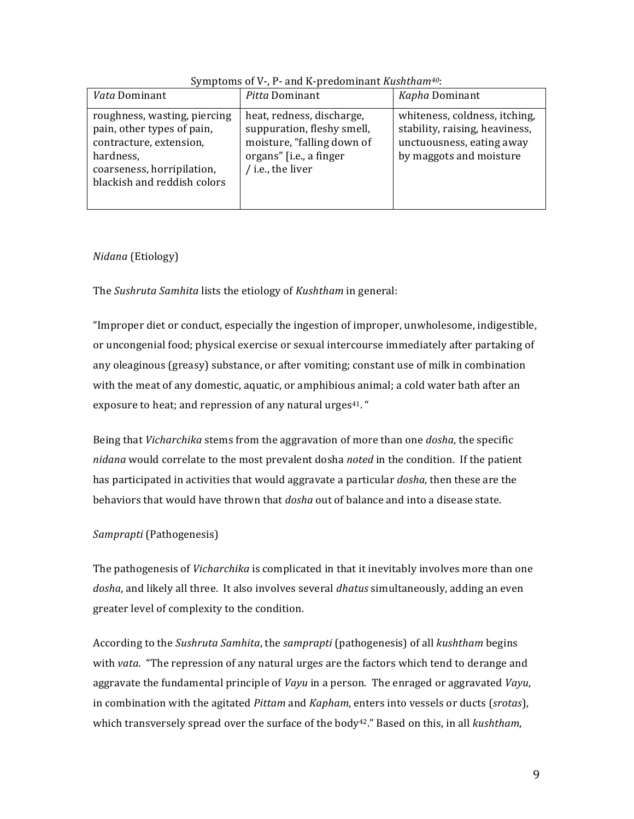| <i>Pitta</i> Dominant<br>Kapha Dominant<br><i>Vata</i> Dominant<br>whiteness, coldness, itching,<br>heat, redness, discharge,<br>roughness, wasting, piercing<br>stability, raising, heaviness,<br>suppuration, fleshy smell,<br>pain, other types of pain,<br>moisture, "falling down of<br>contracture, extension,<br>unctuousness, eating away<br>by maggots and moisture<br>organs" [i.e., a finger<br>hardness,<br>/ i.e., the liver<br>coarseness, horripilation,<br>blackish and reddish colors |  |  |  |
|--------------------------------------------------------------------------------------------------------------------------------------------------------------------------------------------------------------------------------------------------------------------------------------------------------------------------------------------------------------------------------------------------------------------------------------------------------------------------------------------------------|--|--|--|
|                                                                                                                                                                                                                                                                                                                                                                                                                                                                                                        |  |  |  |
|                                                                                                                                                                                                                                                                                                                                                                                                                                                                                                        |  |  |  |

# Symptoms of V-, P- and K-predominant Kushtham<sup>40</sup>:

# Nidana (Etiology)

The Sushruta Samhita lists the etiology of Kushtham in general:

"Improper diet or conduct, especially the ingestion of improper, unwholesome, indigestible, or uncongenial food; physical exercise or sexual intercourse immediately after partaking of any oleaginous (greasy) substance, or after vomiting; constant use of milk in combination with the meat of any domestic, aquatic, or amphibious animal; a cold water bath after an exposure to heat; and repression of any natural urges<sup>41</sup>."

Being that *Vicharchika* stems from the aggravation of more than one *dosha*, the specific nidana would correlate to the most prevalent dosha noted in the condition. If the patient has participated in activities that would aggravate a particular *dosha*, then these are the behaviors that would have thrown that *dosha* out of balance and into a disease state.

# Samprapti (Pathogenesis)

The pathogenesis of Vicharchika is complicated in that it inevitably involves more than one dosha, and likely all three. It also involves several *dhatus* simultaneously, adding an even greater level of complexity to the condition.

According to the Sushruta Samhita, the samprapti (pathogenesis) of all kushtham begins with vata. "The repression of any natural urges are the factors which tend to derange and aggravate the fundamental principle of Vayu in a person. The enraged or aggravated Vayu, in combination with the agitated *Pittam* and *Kapham*, enters into vessels or ducts (srotas), which transversely spread over the surface of the body<sup>42</sup>." Based on this, in all kushtham,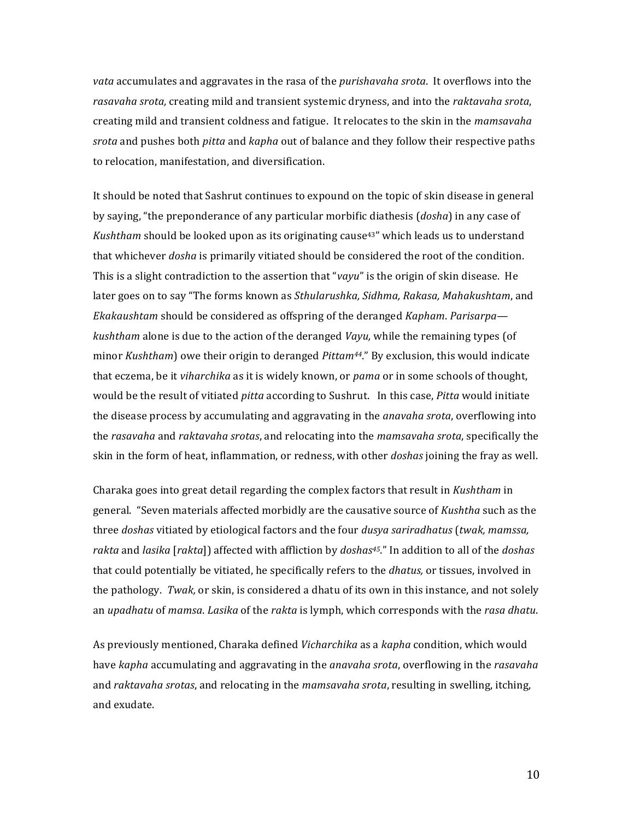*vata* accumulates and aggravates in the rasa of the *purishavaha srota*. It overflows into the rasavaha srota, creating mild and transient systemic dryness, and into the raktavaha srota, creating mild and transient coldness and fatigue. It relocates to the skin in the mamsavaha srota and pushes both *pitta* and *kapha* out of balance and they follow their respective paths to relocation, manifestation, and diversification.

It should be noted that Sashrut continues to expound on the topic of skin disease in general by saying, "the preponderance of any particular morbific diathesis (dosha) in any case of Kushtham should be looked upon as its originating cause<sup>43"</sup> which leads us to understand that whichever *dosha* is primarily vitiated should be considered the root of the condition. This is a slight contradiction to the assertion that "vayu" is the origin of skin disease. He later goes on to say "The forms known as Sthularushka, Sidhma, Rakasa, Mahakushtam, and Ekakaushtam should be considered as offspring of the deranged Kapham. Parisarpa kushtham alone is due to the action of the deranged Vayu, while the remaining types (of minor Kushtham) owe their origin to deranged Pittam<sup>44</sup>." By exclusion, this would indicate that eczema, be it viharchika as it is widely known, or pama or in some schools of thought, would be the result of vitiated *pitta* according to Sushrut. In this case, *Pitta* would initiate the disease process by accumulating and aggravating in the *anavaha srota*, overflowing into the rasavaha and raktavaha srotas, and relocating into the mamsavaha srota, specifically the skin in the form of heat, inflammation, or redness, with other *doshas* joining the fray as well.

Charaka goes into great detail regarding the complex factors that result in Kushtham in general. "Seven materials affected morbidly are the causative source of Kushtha such as the three doshas vitiated by etiological factors and the four dusya sariradhatus (twak, mamssa, rakta and lasika [rakta]] affected with affliction by *doshas<sup>45</sup>.*" In addition to all of the *doshas* that could potentially be vitiated, he specifically refers to the *dhatus*, or tissues, involved in the pathology. Twak, or skin, is considered a dhatu of its own in this instance, and not solely an upadhatu of mamsa. Lasika of the rakta is lymph, which corresponds with the rasa dhatu.

As previously mentioned, Charaka defined *Vicharchika* as a *kapha* condition, which would have kapha accumulating and aggravating in the anavaha srota, overflowing in the rasavaha and raktavaha srotas, and relocating in the mamsavaha srota, resulting in swelling, itching, and exudate.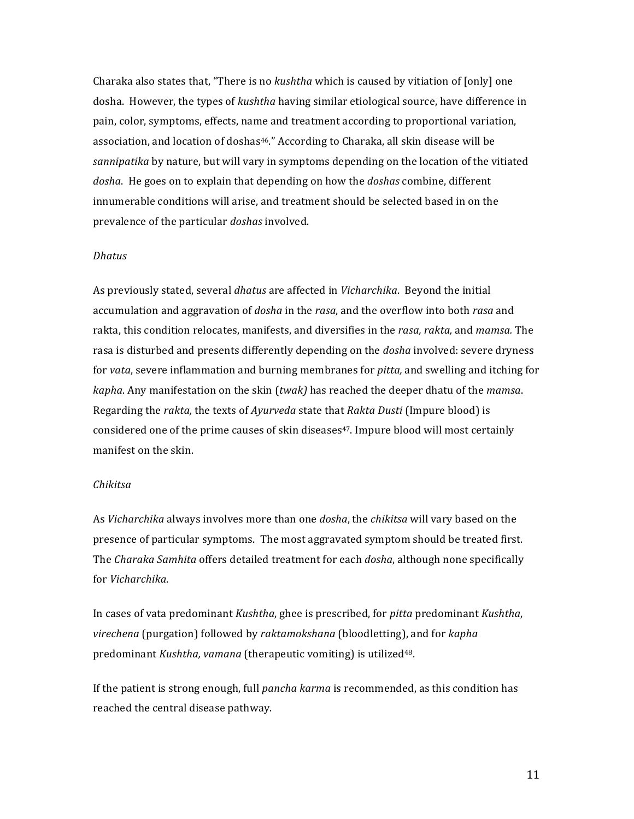Charaka also states that, "There is no *kushtha* which is caused by vitiation of [only] one dosha. However, the types of *kushtha* having similar etiological source, have difference in pain, color, symptoms, effects, name and treatment according to proportional variation, association, and location of doshas<sup>46</sup>." According to Charaka, all skin disease will be *sannipatika* by nature, but will vary in symptoms depending on the location of the vitiated dosha. He goes on to explain that depending on how the *doshas* combine, different innumerable conditions will arise, and treatment should be selected based in on the prevalence of the particular *doshas* involved.

### *Dhatus*

As previously stated, several *dhatus* are affected in *Vicharchika*. Beyond the initial accumulation and aggravation of *dosha* in the *rasa*, and the overflow into both *rasa* and rakta, this condition relocates, manifests, and diversifies in the *rasa, rakta*, and *mamsa*. The rasa is disturbed and presents differently depending on the *dosha* involved: severe dryness for *vata*, severe inflammation and burning membranes for *pitta*, and swelling and itching for *kapha*. Any manifestation on the skin (*twak*) has reached the deeper dhatu of the *mamsa*. Regarding the *rakta*, the texts of *Ayurveda* state that *Rakta Dusti* (Impure blood) is considered one of the prime causes of skin diseases<sup>47</sup>. Impure blood will most certainly manifest on the skin.

### *Chikitsa.*

As *Vicharchika* always involves more than one *dosha*, the *chikitsa* will vary based on the presence of particular symptoms. The most aggravated symptom should be treated first. The *Charaka Samhita* offers detailed treatment for each *dosha*, although none specifically for!*Vicharchika*.

In cases of vata predominant *Kushtha*, ghee is prescribed, for *pitta* predominant *Kushtha*, *virechena* (purgation) followed by *raktamokshana* (bloodletting), and for *kapha*. predominant *Kushtha, vamana* (therapeutic vomiting) is utilized<sup>48</sup>.

If the patient is strong enough, full *pancha karma* is recommended, as this condition has reached the central disease pathway.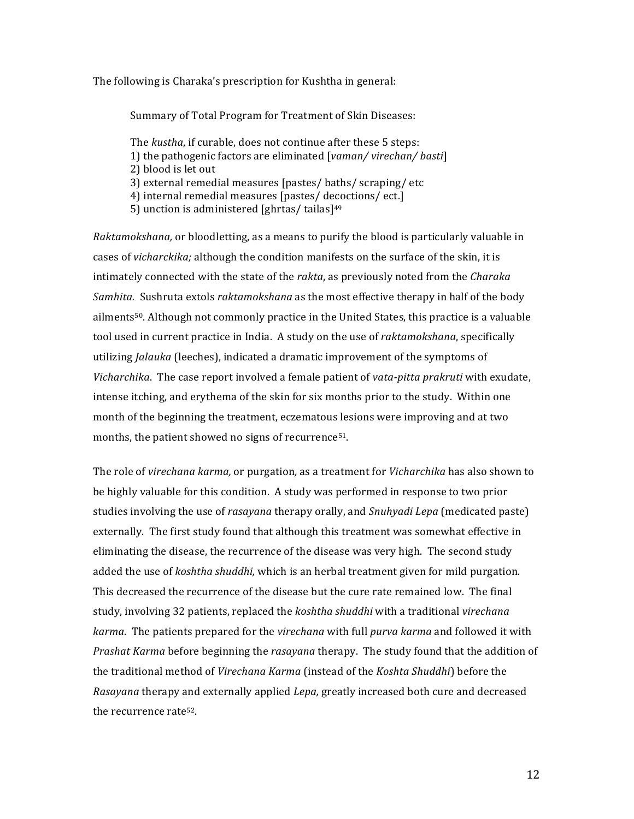The following is Charaka's prescription for Kushtha in general:

Summary of Total Program for Treatment of Skin Diseases:

The kustha, if curable, does not continue after these 5 steps: 1) the pathogenic factors are eliminated [vaman/virechan/basti] 2) blood is let out 3) external remedial measures [pastes/baths/scraping/etc 4) internal remedial measures [pastes/ decoctions/ ect.] 5) unction is administered [ghrtas/tailas]<sup>49</sup>

Raktamokshana, or bloodletting, as a means to purify the blood is particularly valuable in cases of *vicharckika*; although the condition manifests on the surface of the skin, it is intimately connected with the state of the rakta, as previously noted from the Charaka Samhita. Sushruta extols raktamokshana as the most effective therapy in half of the body ailments<sup>50</sup>. Although not commonly practice in the United States, this practice is a valuable tool used in current practice in India. A study on the use of *raktamokshana*, specifically utilizing Jalauka (leeches), indicated a dramatic improvement of the symptoms of Vicharchika. The case report involved a female patient of vata-pitta prakruti with exudate, intense itching, and erythema of the skin for six months prior to the study. Within one month of the beginning the treatment, eczematous lesions were improving and at two months, the patient showed no signs of recurrence<sup>51</sup>.

The role of virechana karma, or purgation, as a treatment for Vicharchika has also shown to be highly valuable for this condition. A study was performed in response to two prior studies involving the use of rasayana therapy orally, and Snuhyadi Lepa (medicated paste) externally. The first study found that although this treatment was somewhat effective in eliminating the disease, the recurrence of the disease was very high. The second study added the use of koshtha shuddhi, which is an herbal treatment given for mild purgation. This decreased the recurrence of the disease but the cure rate remained low. The final study, involving 32 patients, replaced the koshtha shuddhi with a traditional virechana karma. The patients prepared for the virechana with full purva karma and followed it with Prashat Karma before beginning the rasayana therapy. The study found that the addition of the traditional method of Virechana Karma (instead of the Koshta Shuddhi) before the Rasayana therapy and externally applied Lepa, greatly increased both cure and decreased the recurrence rate<sup>52</sup>.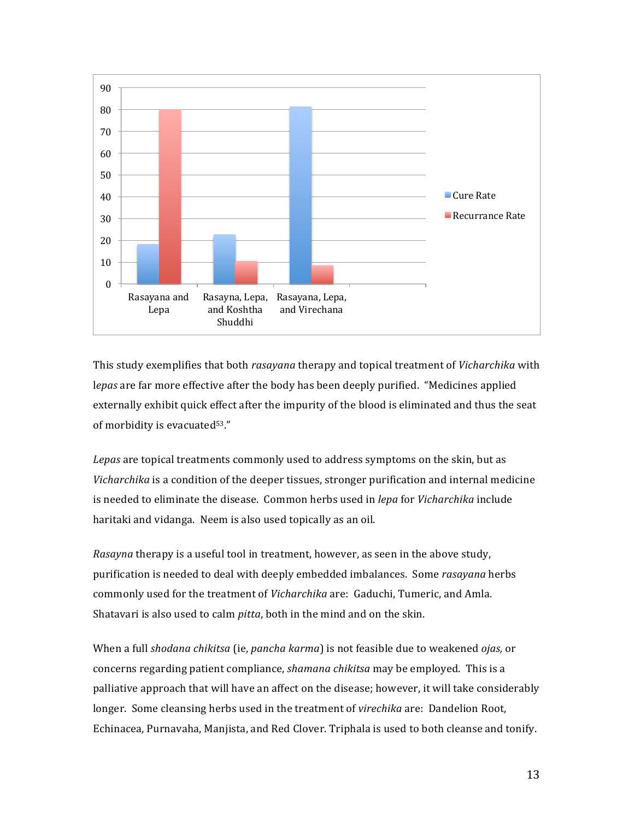

This study exemplifies that both *rasayana* therapy and topical treatment of *Vicharchika* with lepas are far more effective after the body has been deeply purified. "Medicines applied externally exhibit quick effect after the impurity of the blood is eliminated and thus the seat of morbidity is evacuated $53."$ 

Lepas are topical treatments commonly used to address symptoms on the skin, but as *Vicharchika* is a condition of the deeper tissues, stronger purification and internal medicine is needed to eliminate the disease. Common herbs used in *lepa* for *Vicharchika* include haritaki and vidanga. Neem is also used topically as an oil.

*Rasayna* therapy is a useful tool in treatment, however, as seen in the above study, purification is needed to deal with deeply embedded imbalances. Some *rasayana* herbs commonly used for the treatment of *Vicharchika* are: Gaduchi, Tumeric, and Amla. Shatavari is also used to calm *pitta*, both in the mind and on the skin.

When a full *shodana chikitsa* (ie, *pancha karma*) is not feasible due to weakened *ojas*, or concerns regarding patient compliance, *shamana chikitsa* may be employed. This is a palliative approach that will have an affect on the disease; however, it will take considerably longer. Some cleansing herbs used in the treatment of *virechika* are: Dandelion Root, Echinacea, Purnavaha, Manjista, and Red Clover. Triphala is used to both cleanse and tonify.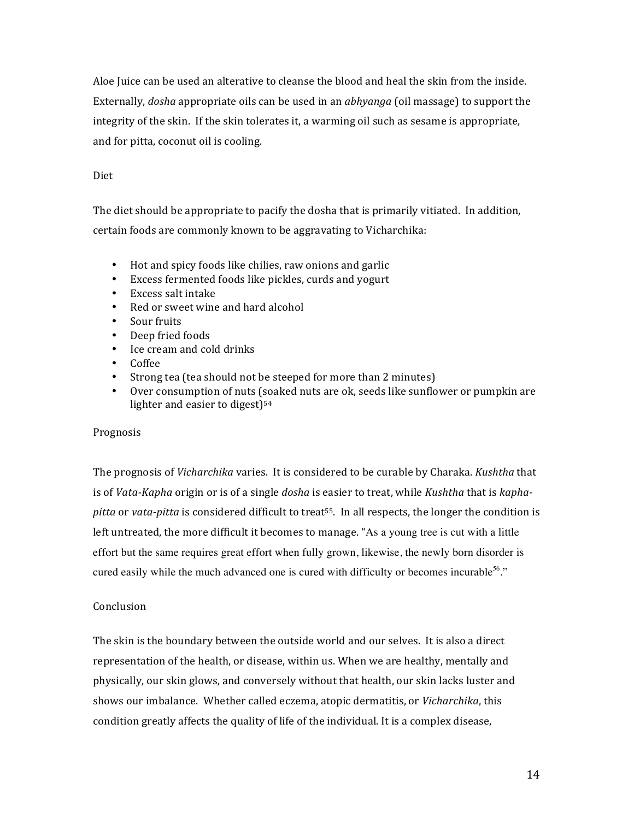Aloe Juice can be used an alterative to cleanse the blood and heal the skin from the inside. Externally, dosha appropriate oils can be used in an abhyanga (oil massage) to support the integrity of the skin. If the skin tolerates it, a warming oil such as sesame is appropriate, and for pitta, coconut oil is cooling.

# Diet

The diet should be appropriate to pacify the dosha that is primarily vitiated. In addition, certain foods are commonly known to be aggravating to Vicharchika:

- Hot and spicy foods like chilies, raw onions and garlic
- $\bullet$  . Excess fermented foods like pickles, curds and yogurt
- Excess salt intake
- Red or sweet wine and hard alcohol
- Sour fruits
- Deep fried foods  $\bullet$
- Ice cream and cold drinks
- Coffee
- Strong tea (tea should not be steeped for more than 2 minutes)
- Over consumption of nuts (soaked nuts are ok, seeds like sunflower or pumpkin are lighter and easier to digest)<sup>54</sup>

## Prognosis

The prognosis of Vicharchika varies. It is considered to be curable by Charaka. Kushtha that is of Vata-Kapha origin or is of a single dosha is easier to treat, while Kushtha that is kaphapitta or vata-pitta is considered difficult to treat<sup>55</sup>. In all respects, the longer the condition is left untreated, the more difficult it becomes to manage. "As a young tree is cut with a little effort but the same requires great effort when fully grown, likewise, the newly born disorder is cured easily while the much advanced one is cured with difficulty or becomes incurable<sup>56</sup>."

## Conclusion

The skin is the boundary between the outside world and our selves. It is also a direct representation of the health, or disease, within us. When we are healthy, mentally and physically, our skin glows, and conversely without that health, our skin lacks luster and shows our imbalance. Whether called eczema, atopic dermatitis, or *Vicharchika*, this condition greatly affects the quality of life of the individual. It is a complex disease,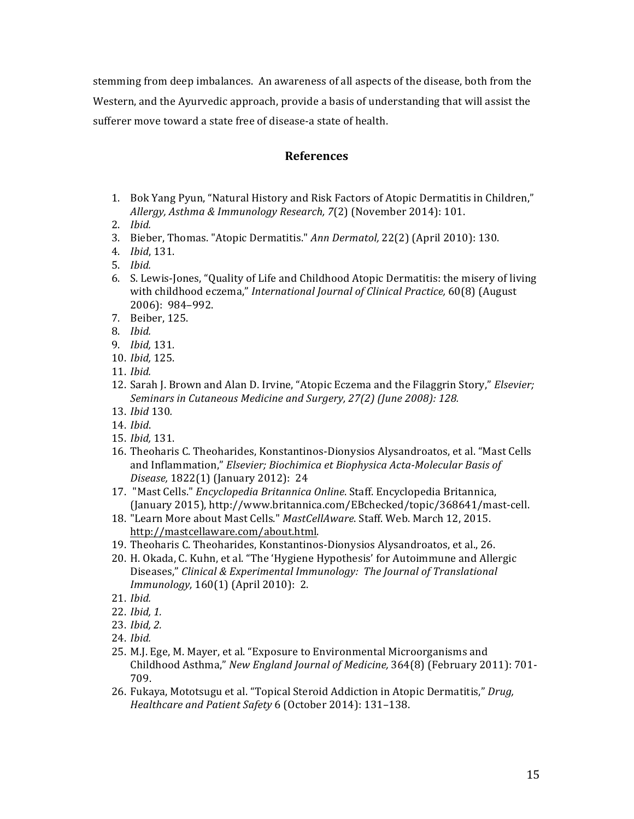stemming from deep imbalances. An awareness of all aspects of the disease, both from the Western, and the Ayurvedic approach, provide a basis of understanding that will assist the sufferer move toward a state free of disease-a state of health.

# **References**

- 1. Bok Yang Pyun, "Natural History and Risk Factors of Atopic Dermatitis in Children," Allergy, Asthma & Immunology Research, 7(2) (November 2014): 101.
- $2.$  Ibid.
- 3. Bieber, Thomas. "Atopic Dermatitis." Ann Dermatol, 22(2) (April 2010): 130.
- 4. *Ibid*, 131.
- $5.$  Ibid.
- 6. S. Lewis-Jones, "Quality of Life and Childhood Atopic Dermatitis: the misery of living with childhood eczema," International Journal of Clinical Practice, 60(8) (August 2006): 984-992.
- 7. Beiber, 125.
- 8. Ibid.
- 9. *Ibid*, 131.
- 10. Ibid, 125.
- 11. Ibid.
- 12. Sarah J. Brown and Alan D. Irvine, "Atopic Eczema and the Filaggrin Story," *Elsevier*; Seminars in Cutaneous Medicine and Surgery, 27(2) (June 2008): 128.
- 13. *Ibid* 130.
- 14. Ibid.
- 15. Ibid, 131.
- 16. Theoharis C. Theoharides, Konstantinos-Dionysios Alysandroatos, et al. "Mast Cells and Inflammation," Elsevier; Biochimica et Biophysica Acta-Molecular Basis of Disease, 1822(1) (January 2012): 24
- 17. "Mast Cells." Encyclopedia Britannica Online. Staff. Encyclopedia Britannica, (January 2015), http://www.britannica.com/EBchecked/topic/368641/mast-cell.
- 18. "Learn More about Mast Cells." MastCellAware. Staff. Web. March 12, 2015. http://mastcellaware.com/about.html.
- 19. Theoharis C. Theoharides, Konstantinos-Dionysios Alysandroatos, et al., 26.
- 20. H. Okada, C. Kuhn, et al. "The 'Hygiene Hypothesis' for Autoimmune and Allergic Diseases," Clinical & Experimental Immunology: The Journal of Translational Immunology, 160(1) (April 2010): 2.
- 21. Ibid.
- 22. Ibid. 1.
- 23. Ibid, 2.
- 24. Ibid.
- 25. M.J. Ege, M. Mayer, et al. "Exposure to Environmental Microorganisms and Childhood Asthma," New England Journal of Medicine, 364(8) (February 2011): 701-709.
- 26. Fukaya, Mototsugu et al. "Topical Steroid Addiction in Atopic Dermatitis," Drug, Healthcare and Patient Safety 6 (October 2014): 131-138.